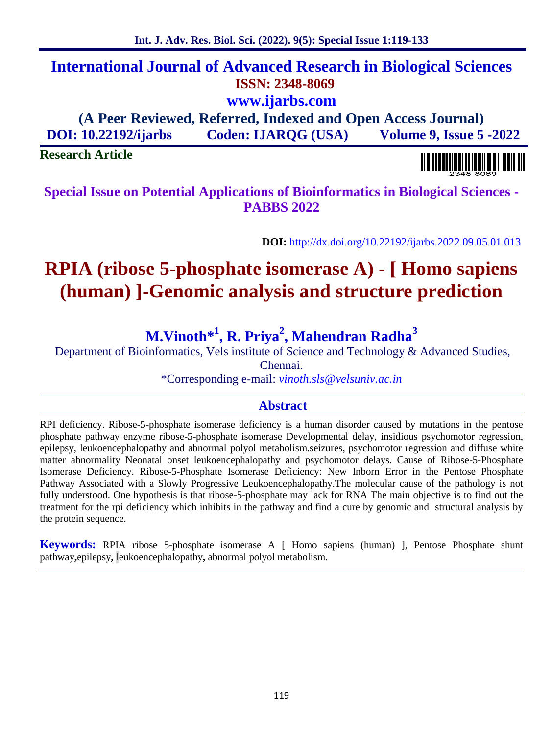# **International Journal of Advanced Research in Biological Sciences ISSN: 2348-8069 www.ijarbs.com**

**(A Peer Reviewed, Referred, Indexed and Open Access Journal) DOI: 10.22192/ijarbs Coden: IJARQG (USA) Volume 9, Issue 5 -2022**

**Research Article**

**Special Issue on Potential Applications of Bioinformatics in Biological Sciences - PABBS 2022**

**DOI:** http://dx.doi.org/10.22192/ijarbs.2022.09.05.01.013

# **RPIA (ribose 5-phosphate isomerase A) - [ Homo sapiens (human) ]-Genomic analysis and structure prediction**

# **M.Vinoth\* 1 , R. Priya<sup>2</sup> , Mahendran Radha<sup>3</sup>**

Department of Bioinformatics, Vels institute of Science and Technology & Advanced Studies,

Chennai.

\*Corresponding e-mail: *vinoth.sls@velsuniv.ac.in*

# **Abstract**

RPI deficiency. Ribose-5-phosphate isomerase deficiency is a human disorder caused by mutations in the pentose phosphate pathway enzyme ribose-5-phosphate isomerase Developmental delay, insidious psychomotor regression, epilepsy, leukoencephalopathy and abnormal polyol metabolism.seizures, psychomotor regression and diffuse white matter abnormality Neonatal onset leukoencephalopathy and psychomotor delays. Cause of Ribose-5-Phosphate Isomerase Deficiency. Ribose-5-Phosphate Isomerase Deficiency: New Inborn Error in the Pentose Phosphate Pathway Associated with a Slowly Progressive Leukoencephalopathy.The molecular cause of the pathology is not fully understood. One hypothesis is that ribose-5-phosphate may lack for RNA The main objective is to find out the treatment for the rpi deficiency which inhibits in the pathway and find a cure by genomic and structural analysis by the protein sequence.

**Keywords:** RPIA ribose 5-phosphate isomerase A [ Homo sapiens (human) ], Pentose Phosphate shunt pathway**,**epilepsy**,** leukoencephalopathy**,** abnormal polyol metabolism.

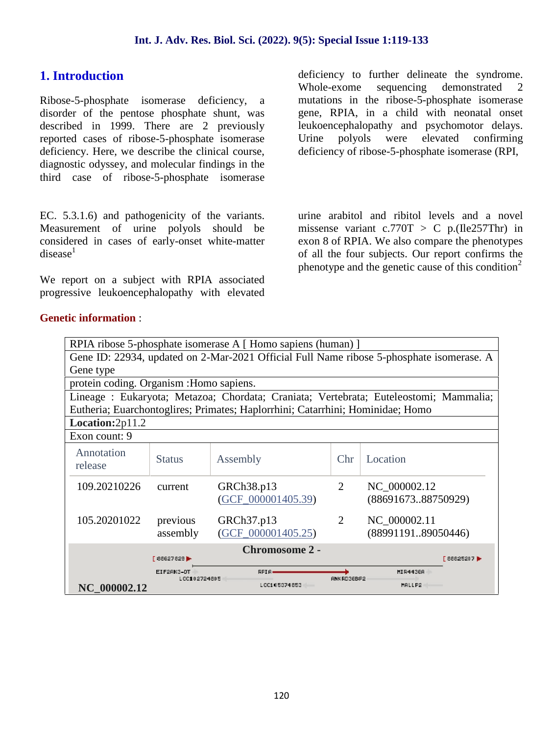# **1. Introduction**

Ribose-5-phosphate isomerase deficiency, a disorder of the pentose phosphate shunt, was described in 1999. There are 2 previously reported cases of ribose-5-phosphate isomerase deficiency. Here, we describe the clinical course, diagnostic odyssey, and molecular findings in the third case of ribose-5-phosphate isomerase

EC. 5.3.1.6) and pathogenicity of the variants. Measurement of urine polyols should be considered in cases of early-onset white-matter  $disease<sup>1</sup>$ 

We report on a subject with RPIA associated progressive leukoencephalopathy with elevated deficiency to further delineate the syndrome. Whole-exome sequencing demonstrated 2 mutations in the ribose-5-phosphate isomerase gene, RPIA, in a child with neonatal onset leukoencephalopathy and psychomotor delays. polyols were elevated confirming deficiency of ribose-5-phosphate isomerase (RPI,

urine arabitol and ribitol levels and a novel missense variant  $c.770T > C$  p.(Ile257Thr) in exon 8 of RPIA. We also compare the phenotypes of all the four subjects. Our report confirms the phenotype and the genetic cause of this condition<sup>2</sup>

|                                          |                            | RPIA ribose 5-phosphate isomerase A [Homo sapiens (human) ]                    |                |                                                                                          |  |
|------------------------------------------|----------------------------|--------------------------------------------------------------------------------|----------------|------------------------------------------------------------------------------------------|--|
|                                          |                            |                                                                                |                | Gene ID: 22934, updated on 2-Mar-2021 Official Full Name ribose 5-phosphate isomerase. A |  |
| Gene type                                |                            |                                                                                |                |                                                                                          |  |
| protein coding. Organism : Homo sapiens. |                            |                                                                                |                |                                                                                          |  |
|                                          |                            |                                                                                |                | Lineage : Eukaryota; Metazoa; Chordata; Craniata; Vertebrata; Euteleostomi; Mammalia;    |  |
|                                          |                            | Eutheria; Euarchontoglires; Primates; Haplorrhini; Catarrhini; Hominidae; Homo |                |                                                                                          |  |
| Location:2p11.2                          |                            |                                                                                |                |                                                                                          |  |
| Exon count: 9                            |                            |                                                                                |                |                                                                                          |  |
| Annotation<br>release                    | <b>Status</b>              | Assembly                                                                       | Chr            | Location                                                                                 |  |
| 109.20210226                             | current                    | GRCh38.p13<br>$(GCF_000001405.39)$                                             | $\overline{2}$ | NC 000002.12<br>(8869167388750929)                                                       |  |
| 105.20201022                             | previous<br>assembly       | GRCh37.p13<br>$(GCF_000001405.25)$                                             | 2              | NC 000002.11<br>(8899119189050446)                                                       |  |
|                                          | 86627629                   | <b>Chromosome 2 -</b>                                                          |                | 68825207 ▶                                                                               |  |
|                                          | EIF2AK3-DI<br>100102724805 | <b>RPIA</b><br>1061058741556                                                   | ANK RO36BP2    | MIR4436A<br>MALLP2                                                                       |  |
| NC 000002.12                             |                            |                                                                                |                |                                                                                          |  |

### **Genetic information** :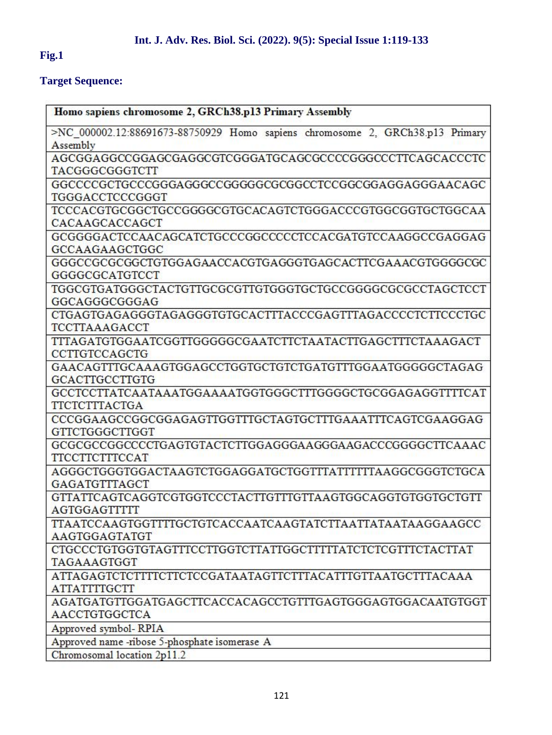# **Fig.1**

ÿ

# **Target Sequence:**

| Homo sapiens chromosome 2, GRCh38.p13 Primary Assembly                            |
|-----------------------------------------------------------------------------------|
| >NC_000002.12:88691673-88750929 Homo sapiens chromosome 2, GRCh38.p13 Primary     |
| Assembly                                                                          |
| AGCGGAGGCCGGAGCGAGGCGTCGGGATGCAGCGCCCCGGGCCCTTCAGCACCCTC                          |
| TACGGGCGGGTCTT                                                                    |
| GGCCCCGCTGCCCGGGAGGGCCGGGGCCGCGCCTCCGGCGGAGGAGGAACAGC                             |
| TGGGACCTCCCGGGT                                                                   |
| TCCCACGTGCGGCTGCCGGGGCGTGCACAGTCTGGGACCCGTGGCGGTGCTGCAA                           |
| CACAAGCACCAGCT                                                                    |
| GCGGGGACTCCAACAGCATCTGCCCGGCCCCCTCCACGATGTCCAAGGCCGAGGAG                          |
| GCCAAGAAGCTGGC                                                                    |
| GGGCCGCGCGCTGTGGAGAACCACGTGAGGGTGAGCACTTCGAAACGTGGGGCGC                           |
| GGGGCGCATGTCCT                                                                    |
| TGGCGTGATGGGCTACTGTTGCGCGTTGTGGGTGCTGCCGGGGCGCGCCTAGCTCCT                         |
| GGCAGGGCGGGAG                                                                     |
| CTGAGTGAGAGGGTAGAGGGTGTGCACTTTACCCGAGTTTAGACCCCTCTTCCCTGC                         |
| <b>TCCTTAAAGACCT</b>                                                              |
| TTTAGATGTGGAATCGGTTGGGGCGAATCTTCTAATACTTGAGCTTTCTAAAGACT                          |
| CCTTGTCCAGCTG                                                                     |
| GAACAGTTTGCAAAGTGGAGCCTGGTGCTGTCTGATGTTTGGAATGGGGGCTAGAG                          |
| <b>GCACTTGCCTTGTG</b>                                                             |
| GCCTCCTTATCAATAAATGGAAAATGGTGGGCTTTGGGGCTGCGGAGAGGTTTTCAT                         |
| <b>TTCTCTTTACTGA</b>                                                              |
| CCCGGAAGCCGGCGGAGAGTTGGTTTGCTAGTGCTTTGAAATTTCAGTCGAAGGAG                          |
| GTTCTGGGCTTGGT                                                                    |
|                                                                                   |
| <b>TTCCTTCTTTCCAT</b>                                                             |
| AGGGCTGGGTGGACTAAGTCTGGAGGATGCTGGTTTATTTTTTAAGGCGGGTCTGCA                         |
| GAGATGTTTAGCT                                                                     |
| GTTATTCAGTCAGGTCGTGGTCCCTACTTGTTTGTTAAGTGGCAGGTGTGGTGCTGTT                        |
| <b>AGTGGAGTTTTT</b>                                                               |
| TTAATCCAAGTGGTTTTGCTGTCACCAATCAAGTATCTTAATTATAATAAGGAAGCC                         |
| AAGTGGAGTATGT                                                                     |
| CTGCCCTGTGGTGTAGTTTCCTTGGTCTTATTGGCTTTTTATCTCTCGTTTCTACTTAT                       |
| TAGAAAGTGGT                                                                       |
| ATTAGAGTCTCTTTTCTTCTCCGATAATAGTTCTTTACATTTGTTAATGCTTTACAAA                        |
| <b>ATTATTTTGCTT</b>                                                               |
| AGATGATGTTGGATGAGCTTCACCACAGCCTGTTTGAGTGGGAGTGGACAATGTGGT<br><b>AACCTGTGGCTCA</b> |
|                                                                                   |
| Approved symbol-RPIA                                                              |
| Approved name -ribose 5-phosphate isomerase A<br>Chromosomal location 2p11.2      |
|                                                                                   |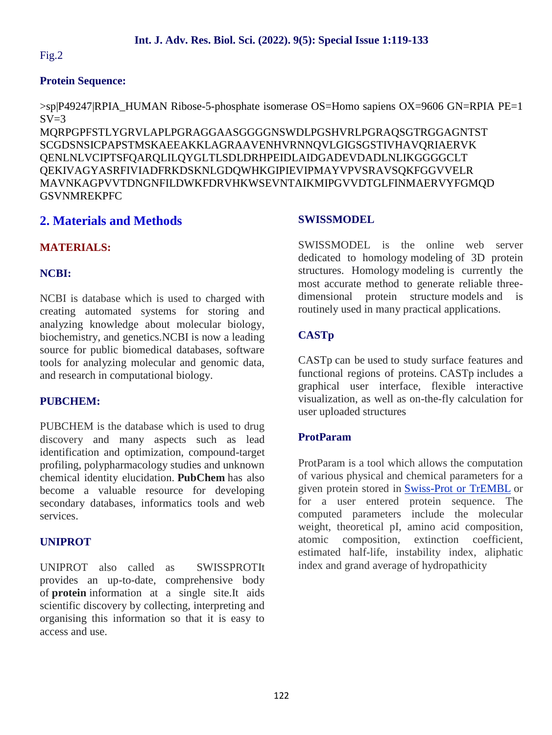# Fig.2

# **Protein Sequence:**

>sp|P49247|RPIA\_HUMAN Ribose-5-phosphate isomerase OS=Homo sapiens OX=9606 GN=RPIA PE=1  $SV=3$ 

MQRPGPFSTLYGRVLAPLPGRAGGAASGGGGNSWDLPGSHVRLPGRAQSGTRGGAGNTST SCGDSNSICPAPSTMSKAEEAKKLAGRAAVENHVRNNQVLGIGSGSTIVHAVQRIAERVK QENLNLVCIPTSFQARQLILQYGLTLSDLDRHPEIDLAIDGADEVDADLNLIKGGGGCLT QEKIVAGYASRFIVIADFRKDSKNLGDQWHKGIPIEVIPMAYVPVSRAVSQKFGGVVELR MAVNKAGPVVTDNGNFILDWKFDRVHKWSEVNTAIKMIPGVVDTGLFINMAERVYFGMQD **GSVNMREKPFC** 

# **2. Materials and Methods**

# **MATERIALS:**

# **NCBI:**

NCBI is database which is used to charged with creating automated systems for storing and analyzing knowledge about molecular biology, biochemistry, and genetics.NCBI is now a leading source for public biomedical databases, software tools for analyzing molecular and genomic data, and research in computational biology.

# **PUBCHEM:**

PUBCHEM is the database which is used to drug discovery and many aspects such as lead identification and optimization, compound-target profiling, polypharmacology studies and unknown chemical identity elucidation. **PubChem** has also become a valuable resource for developing secondary databases, informatics tools and web services.

# **UNIPROT**

UNIPROT also called as SWISSPROTIt provides an up-to-date, comprehensive body of **protein** information at a single site.It aids scientific discovery by collecting, interpreting and organising this information so that it is easy to access and use.

# **SWISSMODEL**

SWISSMODEL is the online web server dedicated to homology modeling of 3D protein structures. Homology modeling is currently the most accurate method to generate reliable three dimensional protein structure models and is routinely used in many practical applications.

# **CASTp**

CASTp can be used to study surface features and functional regions of proteins. CASTp includes a graphical user interface, flexible interactive visualization, as well as on-the-fly calculation for user uploaded structures

# **ProtParam**

ProtParam is a tool which allows the computation of various physical and chemical parameters for a given protein stored in Swiss-Prot or TrEMBL or for a user entered protein sequence. The computed parameters include the molecular weight, theoretical pI, amino acid composition, atomic composition, extinction coefficient, estimated half-life, instability index, aliphatic index and grand average of hydropathicity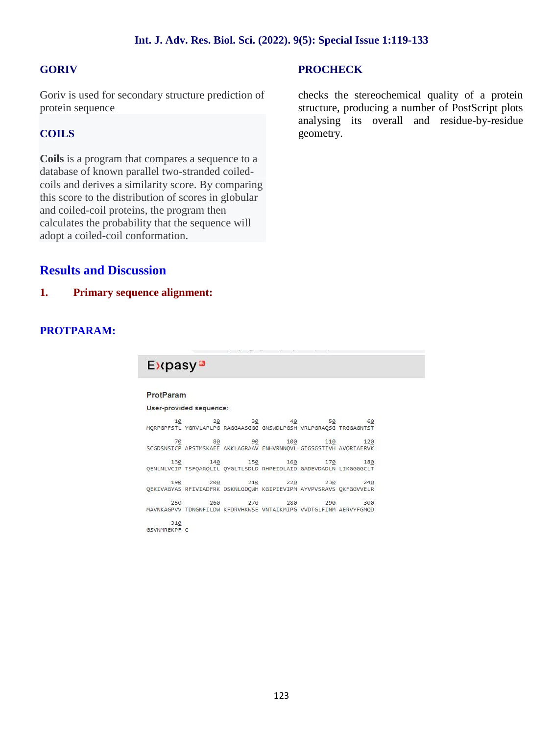# **GORIV**

Goriv is used for secondary structure prediction of protein sequence

# **COILS**

**Coils** is a program that compares a sequence to a database of known parallel two-stranded coiled coils and derives a similarity score. By comparing this score to the distribution of scores in globular and coiled-coil proteins, the program then calculates the probability that the sequence will adopt a coiled-coil conformation.

# **PROCHECK**

checks the stereochemical quality of a protein structure, producing a number of PostScript plots analysing its overall and residue-by-residue geometry.

# **Results and Discussion**

# **1. Primary sequence alignment:**

# **PROTPARAM:**

# **Expasy**<sup>®</sup>

#### ProtParam

#### User-provided sequence:

50 62 19<br>MORPGPFSTL YGRVLAPLPG RAGGAASGGG GNSWDLPGSH VRLPGRAOSG TRGGAGNTST 80  $90$ 100  $110$ 120  $70$ SCGDSNSICP APSTMSKAEE AKKLAGRAAV ENHVRNNOVL GIGSGSTIVH AVORIAERVK  $140$  $160$ 130 150 170 180 QENLNLVCIP TSFQARQLIL QYGLTLSDLD RHPEIDLAID GADEVDADLN LIKGGGGCLT  $210$ 240 230 230 240<br>QEKIVAGYAS RFIVIADFRK DSKNLGDQWH KGIPIEVIPM AYVPVSRAVS QKFGGVVELR  $270$  $260$ 280  $250$  $290$ MAVNKAGPVV TDNGNFILDW KFDRVHKWSE VNTAIKMIPG VVDTGLFINM AERVYFGMQD 310 GSVNMREKPF C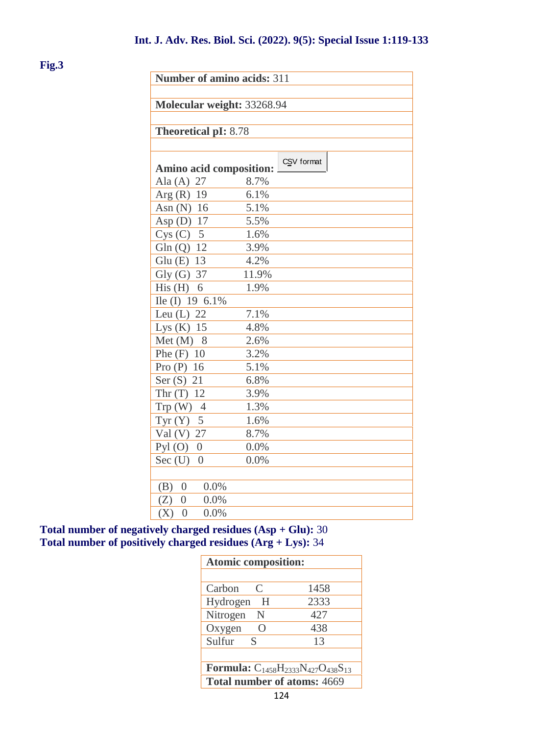**Fig.3**

| Number of amino acids: 311     |       |            |
|--------------------------------|-------|------------|
|                                |       |            |
| Molecular weight: 33268.94     |       |            |
| <b>Theoretical pI: 8.78</b>    |       |            |
|                                |       |            |
|                                |       | CSV format |
| <b>Amino acid composition:</b> |       |            |
| Ala $(A)$ 27                   | 8.7%  |            |
| Arg $(R)$ 19                   | 6.1%  |            |
| Asn $(N)$ 16                   | 5.1%  |            |
| Asp $(D)$ 17                   | 5.5%  |            |
| $Cys(C)$ 5                     | 1.6%  |            |
| Gln $(Q)$ 12                   | 3.9%  |            |
| Glu (E) 13                     | 4.2%  |            |
| $Gly(G)$ 37                    | 11.9% |            |
| His $(H)$ 6                    | 1.9%  |            |
| Ile (I) 19 6.1%                |       |            |
| Leu $(L)$ 22                   | 7.1%  |            |
| Lys $(K)$ 15                   | 4.8%  |            |
| Met $(M)$ 8                    | 2.6%  |            |
| Phe $(F)$ 10                   | 3.2%  |            |
| Pro $(P)$ 16                   | 5.1%  |            |
| Ser $(S)$ 21                   | 6.8%  |            |
| Thr $(T)$ 12                   | 3.9%  |            |
| $Trp(W)$ 4                     | 1.3%  |            |
| Tyr $(Y)$ 5                    | 1.6%  |            |
| Val (V) 27                     | 8.7%  |            |
| Pyl $(O)$ 0                    | 0.0%  |            |
| $Sec$ $(U)$<br>$\overline{0}$  | 0.0%  |            |
|                                |       |            |
| 0.0%<br>(B)<br>$\overline{0}$  |       |            |
| 0.0%<br>(Z)<br>$\overline{0}$  |       |            |
| (X)<br>$\overline{0}$<br>0.0%  |       |            |

**Total number of negatively charged residues (Asp + Glu):** 30 **Total number of positively charged residues (Arg + Lys):** 34

| <b>Atomic composition:</b>                             |      |
|--------------------------------------------------------|------|
|                                                        |      |
| Carbon<br>C                                            | 1458 |
| Hydrogen<br>H                                          | 2333 |
| Nitrogen<br>N                                          | 427  |
| Oxygen<br>$\left( \right)$                             | 438  |
| Sulfur<br>-S                                           | 13   |
|                                                        |      |
| <b>Formula:</b> $C_{1458}H_{2333}N_{427}O_{438}S_{13}$ |      |
| <b>Total number of atoms: 4669</b>                     |      |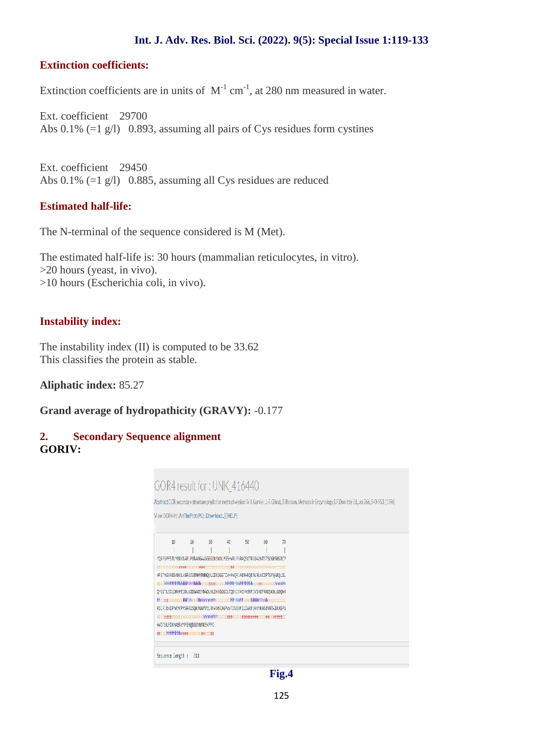### **Int. J. Adv. Res. Biol. Sci. (2022). 9(5): Special Issue 1:119-133**

### **Extinction coefficients:**

Extinction coefficients are in units of  $M^{-1}$  cm<sup>-1</sup>, at 280 nm measured in water.

Ext. coefficient 29700 Abs 0.1% (=1 g/l) 0.893, assuming all pairs of Cys residues form cystines

Ext. coefficient 29450 Abs 0.1% (=1 g/l) 0.885, assuming all Cys residues are reduced

# **Estimated half-life:**

The N-terminal of the sequence considered is M (Met).

The estimated half-life is: 30 hours (mammalian reticulocytes, in vitro). >20 hours (yeast, in vivo). >10 hours (Escherichia coli, in vivo).

# **Instability index:**

The instability index (II) is computed to be 33.62 This classifies the protein as stable.

**Aliphatic index:** 85.27

**Grand average of hydropathicity (GRAVY):** -0.177

# **2. Secondary Sequence alignment GORIV:**

| GOR4 result for: UNK 416440                                                                                                                                       |     |    |    |    |    |    |  |  |  |
|-------------------------------------------------------------------------------------------------------------------------------------------------------------------|-----|----|----|----|----|----|--|--|--|
|                                                                                                                                                                   |     |    |    |    |    |    |  |  |  |
| Abstract GOR secondary structure prediction method version MU, Gamier U-F, Gibrat, B, Rooson, Methods in Enzymology, R.F. Doolitele Ed., vol 266, 540-553 (1996). |     |    |    |    |    |    |  |  |  |
|                                                                                                                                                                   |     |    |    |    |    |    |  |  |  |
| View GOR4 in: AnTheProt (PC), Download] [HELP]                                                                                                                    |     |    |    |    |    |    |  |  |  |
|                                                                                                                                                                   |     |    |    |    |    |    |  |  |  |
| 10                                                                                                                                                                | 28  | 33 | 42 | 50 | FG | 79 |  |  |  |
|                                                                                                                                                                   |     |    |    |    |    |    |  |  |  |
| MORPSPESTLMGRVLAPLPGRAGGAASGGGGKSKDLPG5HVRLPGRACSGTRGGAGNTSTSCGDSNSICP                                                                                            |     |    |    |    |    |    |  |  |  |
|                                                                                                                                                                   |     |    |    |    |    |    |  |  |  |
| APSTHSKAEEAKKLAGRAAVENHVRNNQVLGIGSGSTIVHAVQRIAERVKQENLNLVCIPTSFQARQLIL                                                                                            |     |    |    |    |    |    |  |  |  |
|                                                                                                                                                                   |     |    |    |    |    |    |  |  |  |
| OYGLTLSDLDRHPEIDLAIDGADEVDADLNLIKGGGGCLTDEKIVASYASRFIVIADFRKDSKNLGDQMH                                                                                            |     |    |    |    |    |    |  |  |  |
|                                                                                                                                                                   |     |    |    |    |    |    |  |  |  |
| KGIPIEVIPMANYPVSRAVSQKFGGWELRMAVNKAGPVVTDNGNFILDIAKFORVHKWSENNTAINMIPG                                                                                            |     |    |    |    |    |    |  |  |  |
|                                                                                                                                                                   |     |    |    |    |    |    |  |  |  |
| WOTSLFIMMERWYFGMOGSWINREKPFC<br>eettchhhhhhhheeeccccccceecctee                                                                                                    |     |    |    |    |    |    |  |  |  |
|                                                                                                                                                                   |     |    |    |    |    |    |  |  |  |
|                                                                                                                                                                   |     |    |    |    |    |    |  |  |  |
| Sequence length :                                                                                                                                                 | 311 |    |    |    |    |    |  |  |  |
|                                                                                                                                                                   |     |    |    |    |    |    |  |  |  |

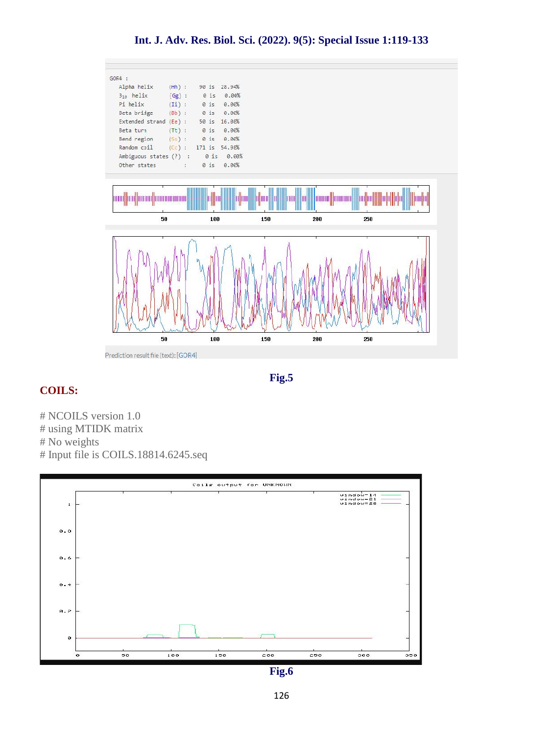

**Fig.5**

# **COILS:**

# NCOILS version 1.0 # using MTIDK matrix # No weights # Input file is COILS.18814.6245.seq



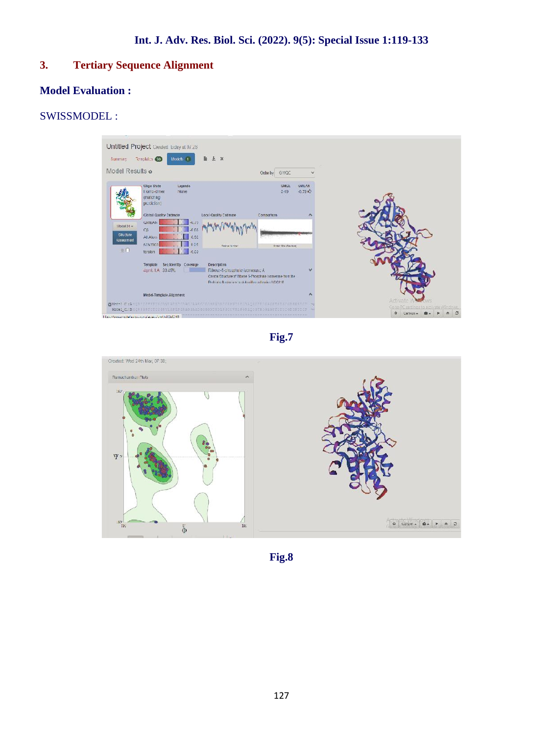# **3. Tertiary Sequence Alignment**

# **Model Evaluation :**

# SWISSMODEL :



**Fig.7**



**Fig.8**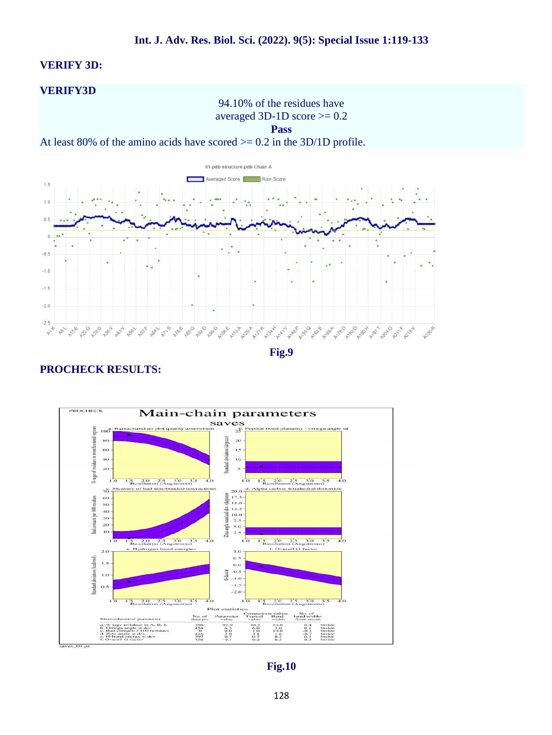#### **VERIFY 3D:**

#### **VERIFY3D**

94.10% of the residues have averaged 3D-1D score  $\geq$  0.2

**Pass**

At least 80% of the amino acids have scored  $> = 0.2$  in the 3D/1D profile.



**Fig.9**

### **PROCHECK RESULTS:**



**Fig.10**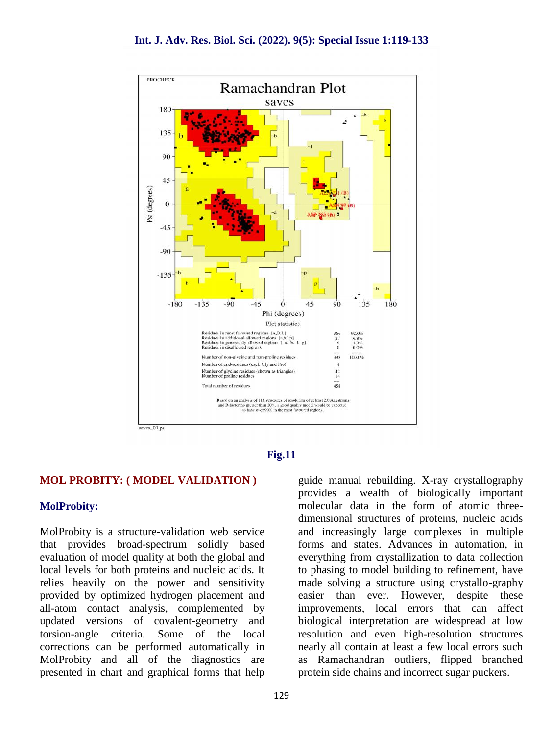



### **MOL PROBITY: ( MODEL VALIDATION )**

### **MolProbity:**

MolProbity is a structure-validation web service that provides broad-spectrum solidly based evaluation of model quality at both the global and local levels for both proteins and nucleic acids. It relies heavily on the power and sensitivity provided by optimized hydrogen placement and all-atom contact analysis, complemented by updated versions of covalent-geometry and torsion-angle criteria. Some of the local corrections can be performed automatically in MolProbity and all of the diagnostics are presented in chart and graphical forms that help guide manual rebuilding. X-ray crystallography provides a wealth of biologically important molecular data in the form of atomic three dimensional structures of proteins, nucleic acids and increasingly large complexes in multiple forms and states. Advances in automation, in everything from crystallization to data collection to phasing to model building to refinement, have made solving a structure using crystallo-graphy easier than ever. However, despite these improvements, local errors that can affect biological interpretation are widespread at low resolution and even high-resolution structures nearly all contain at least a few local errors such as Ramachandran outliers, flipped branched protein side chains and incorrect sugar puckers.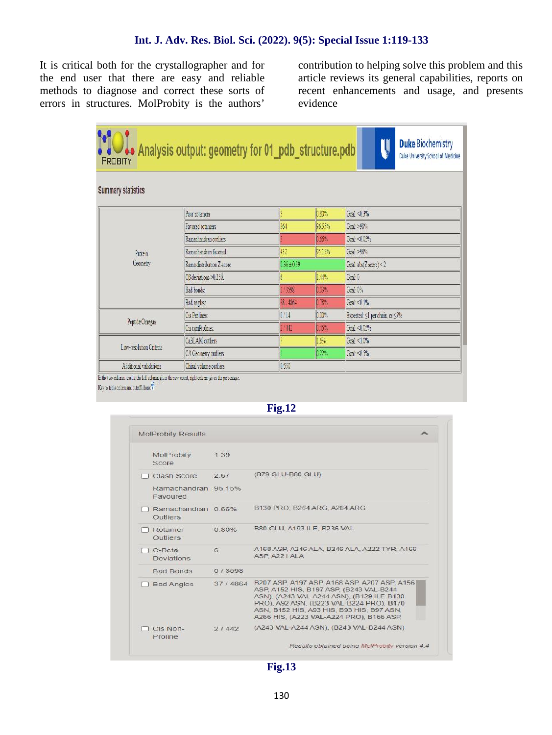It is critical both for the crystallographer and for the end user that there are easy and reliable methods to diagnose and correct these sorts of errors in structures. MolProbity is the authors'

 $\sim$ 

contribution to helping solve this problem and this article reviews its general capabilities, reports on recent enhancements and usage, and presents evidence

| PROBITY                   | . Analysis output: geometry for 01_pdb_structure.pdb |                 |        | <b>Duke Biochemistry</b><br>U<br>Duke University School of Medicine |
|---------------------------|------------------------------------------------------|-----------------|--------|---------------------------------------------------------------------|
| <b>Summary statistics</b> |                                                      |                 |        |                                                                     |
|                           | Poor rotamers                                        |                 | 0.80%  | Goal: <0.3%                                                         |
|                           | Favored rotamers                                     | 364             | 96.55% | Goal: >98%                                                          |
|                           | Ramachandran outliers                                |                 | 0.66%  | Goal: <0.05%                                                        |
| Protein                   | Ramachandran favored                                 | 432             | 95.15% | Goal: >98%                                                          |
| Geometry                  | Rama distribution Z-score                            | $0.36 \pm 0.39$ |        | Goal: abs(Z score) < 2                                              |
|                           | CB deviations >0.25Å                                 |                 | 144%   | Goal: 0                                                             |
|                           | Bad bonds:                                           | 1/3598          | 0.03%  | Goal: 0%                                                            |
|                           | Bad angles:                                          | 38 4864         | 0.79%  | Goal: <0.1%                                                         |
|                           | Cis Prolines:                                        | 0/14            | 0.00%  | Expected ≤l per chain, or ≤5%                                       |
| Peptide Omegas            | Cis nonProlines:                                     | 2/442           | 0.45%  | Goal: <0.05%                                                        |
|                           | CaBLAM outliers                                      |                 | 1.6%   | Goa: < 10%                                                          |
| Low-resolution Criteria   | CA Geometry cuthers                                  |                 | 0.22%  | Goal: <0.5%                                                         |
| Additional validations    | Chiral volume outliers                               | 0.550           |        |                                                                     |

Key to table colors and cutoffs here:

| Fig.12 |  |
|--------|--|
|--------|--|

| <b>MolProbity Results</b>             |           | 灬                                                                                                                                                                                                                                                                     |
|---------------------------------------|-----------|-----------------------------------------------------------------------------------------------------------------------------------------------------------------------------------------------------------------------------------------------------------------------|
| MolProbity<br>Score                   | 1.39      |                                                                                                                                                                                                                                                                       |
| LLClash Score                         | 261       | (B79 GLU-B80 GLU)                                                                                                                                                                                                                                                     |
| Ramachandran 95.15%<br>Favoured       |           |                                                                                                                                                                                                                                                                       |
| Ramachandran 0.66%<br><b>Outliers</b> |           | B130 PRO, B264 ARC, A264 ARC                                                                                                                                                                                                                                          |
| Rotamer<br>Outliers                   | 0.80%     | B80 GLU, A193 ILE, B236 VAL                                                                                                                                                                                                                                           |
| $\Box$ C-Beta<br>Deviations.          | G         | A168 ASP, A246 ALA, B246 ALA, A222 TYR, A166<br>ASP, A221 ALA                                                                                                                                                                                                         |
| <b>Bad Bonds</b>                      | 0/3598    |                                                                                                                                                                                                                                                                       |
| <b>Bad Angles</b>                     | 37 / 4864 | B207 ASP A197 ASP A168 ASP A207 ASP A156<br>ASP, A152 HIS, B197 ASP, (B243 VAL-B244<br>ASN), (A243 VAL A244 ASN), (B129 ILE B130<br>PRO), A92 ASN, (B223 VAL-B224 PRO), B1/0<br>ASN, B152 HIS, A93 HIS, B93 HIS, B97 ASN,<br>A266 HIS. (A223 VAL-A224 PRO). B166 ASP. |
| Cis Non-<br>Proline                   | 21442     | (A243 VAL-A244 ASN), (B243 VAL-B244 ASN)                                                                                                                                                                                                                              |
|                                       |           | Results obtained using MolProbity version 4.4                                                                                                                                                                                                                         |

# **Fig.13**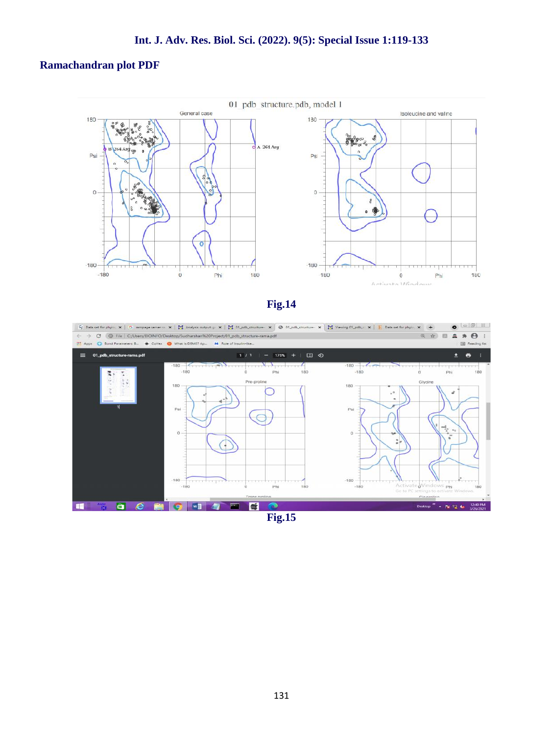# **Ramachandran plot PDF**



**Fig.14**

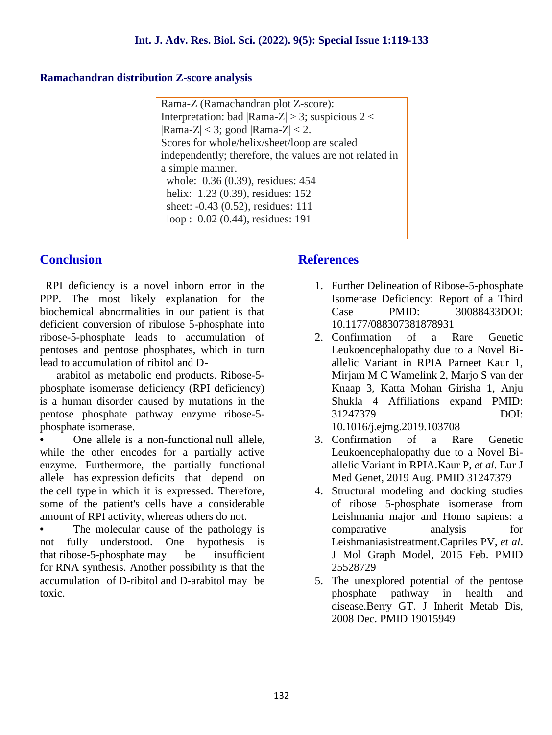# **Ramachandran distribution Z-score analysis**

Rama-Z (Ramachandran plot Z-score): Interpretation: bad  $|Rama-Z| > 3$ ; suspicious 2 <  $|Rama-Z| < 3$ ; good  $|Rama-Z| < 2$ . Scores for whole/helix/sheet/loop are scaled independently; therefore, the values are not related in a simple manner. whole: 0.36 (0.39), residues: 454 helix: 1.23 (0.39), residues: 152 sheet: -0.43 (0.52), residues: 111 loop : 0.02 (0.44), residues: 191

# **Conclusion**

RPI deficiency is a novel inborn error in the PPP. The most likely explanation for the biochemical abnormalities in our patient is that deficient conversion of ribulose 5-phosphate into ribose-5-phosphate leads to accumulation of pentoses and pentose phosphates, which in turn lead to accumulation of ribitol and D-

arabitol as metabolic end products. Ribose-5 phosphate isomerase deficiency (RPI deficiency) is a human disorder caused by mutations in the pentose phosphate pathway enzyme ribose-5 phosphate isomerase.

• One allele is a non-functional null allele, while the other encodes for a partially active enzyme. Furthermore, the partially functional allele has expression deficits that depend on the cell type in which it is expressed. Therefore, some of the patient's cells have a considerable amount of RPI activity, whereas others do not.

The molecular cause of the pathology is not fully understood. One hypothesis is that ribose-5-phosphate may be insufficient for RNA synthesis. Another possibility is that the accumulation of D-ribitol and D-arabitol may be toxic.

# **References**

- 1. Further Delineation of Ribose-5-phosphate Isomerase Deficiency: Report of a Third Case PMID: 30088433DOI: 10.1177/088307381878931
- 2. Confirmation of a Rare Genetic Leukoencephalopathy due to a Novel Bi allelic Variant in RPIA Parneet Kaur 1, Mirjam M C Wamelink 2, Marjo S van der Knaap 3, Katta Mohan Girisha 1, Anju Shukla 4 Affiliations expand PMID: 31247379 DOI: 10.1016/j.ejmg.2019.103708
- 3. Confirmation of a Rare Genetic Leukoencephalopathy due to a Novel Bi allelic Variant in RPIA.Kaur P, *et al*. Eur J Med Genet, 2019 Aug. PMID 31247379
- 4. Structural modeling and docking studies of ribose 5-phosphate isomerase from Leishmania major and Homo sapiens: a comparative analysis for Leishmaniasistreatment.Capriles PV, *et al*. J Mol Graph Model, 2015 Feb. PMID 25528729
- 5. The unexplored potential of the pentose phosphate pathway in health and disease.Berry GT. J Inherit Metab Dis, 2008 Dec. PMID 19015949